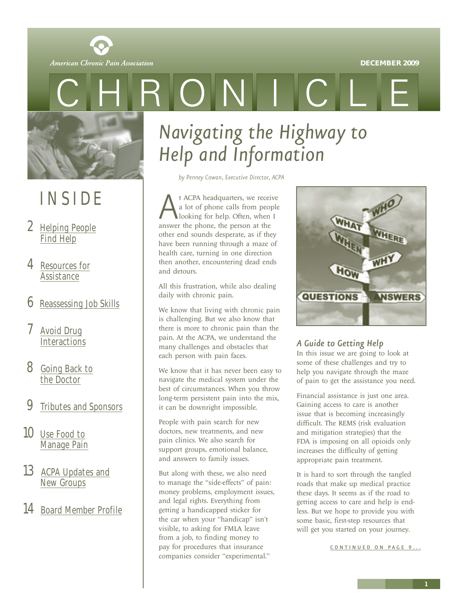

<span id="page-0-0"></span>

# INSIDE

- 2 [Helping People](#page-1-0) Find Help
- 4 [Resources for](#page-3-0) **Assistance**
- 6 [Reassessing Job Skills](#page-5-0)
- Avoid Drug **[Interactions](#page-6-0)**
- 8 [Going Back to](#page-7-0) the Doctor
- 9 [Tributes and Sponsors](#page-8-0)
- 10 Use Food to [Manage Pain](#page-9-0)
- 13 [ACPA Updates and](#page-12-0) New Groups
- 14 [Board Member Profile](#page-13-0)

# *Navigating the Highway to Help and Information*

*by Penney Cowan, Executive Director, ACPA*

 $\bigcap$ 

At ACPA headquarters, we receive<br>a lot of phone calls from people<br>looking for help. Often, when I<br>answer the phone, the person at the a lot of phone calls from people looking for help. Often, when I other end sounds desperate, as if they have been running through a maze of health care, turning in one direction then another, encountering dead ends and detours.

All this frustration, while also dealing daily with chronic pain.

We know that living with chronic pain is challenging. But we also know that there is more to chronic pain than the pain. At the ACPA, we understand the many challenges and obstacles that each person with pain faces.

We know that it has never been easy to navigate the medical system under the best of circumstances. When you throw long-term persistent pain into the mix, it can be downright impossible.

People with pain search for new doctors, new treatments, and new pain clinics. We also search for support groups, emotional balance, and answers to family issues.

But along with these, we also need to manage the "side-effects" of pain: money problems, employment issues, and legal rights. Everything from getting a handicapped sticker for the car when your "handicap" isn't visible, to asking for FMLA leave from a job, to finding money to pay for procedures that insurance companies consider "experimental."



### *A Guide to Getting Help*

In this issue we are going to look at some of these challenges and try to help you navigate through the maze of pain to get the assistance you need.

Financial assistance is just one area. Gaining access to care is another issue that is becoming increasingly difficult. The REMS (risk evaluation and mitigation strategies) that the FDA is imposing on all opioids only increases the difficulty of getting appropriate pain treatment.

It is hard to sort through the tangled roads that make up medical practice these days. It seems as if the road to getting access to care and help is endless. But we hope to provide you with some basic, first-step resources that will get you started on your journey.

CONTINUED ON PAGE 9...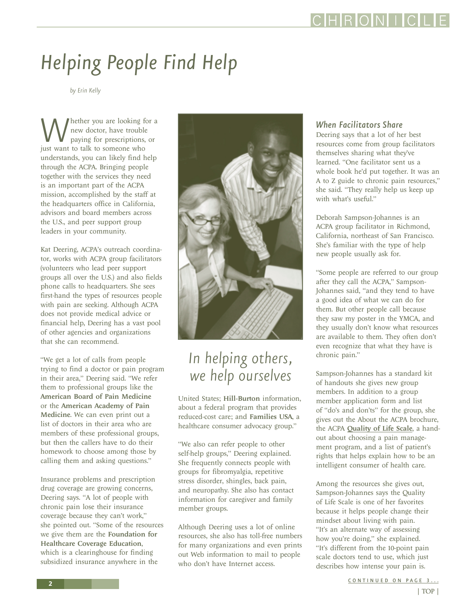

# <span id="page-1-0"></span>*Helping People Find Help*

*by Erin Kelly*

Whether you are looking for a<br>new doctor, have trouble<br>just want to talk to someone who new doctor, have trouble paying for prescriptions, or understands, you can likely find help through the ACPA. Bringing people together with the services they need is an important part of the ACPA mission, accomplished by the staff at the headquarters office in California, advisors and board members across the U.S., and peer support group leaders in your community.

Kat Deering, ACPA's outreach coordinator, works with ACPA group facilitators (volunteers who lead peer support groups all over the U.S.) and also fields phone calls to headquarters. She sees first-hand the types of resources people with pain are seeking. Although ACPA does not provide medical advice or financial help, Deering has a vast pool of other agencies and organizations that she can recommend.

"We get a lot of calls from people trying to find a doctor or pain program in their area," Deering said. "We refer them to professional groups like the American Board of Pain Medicine or the American Academy of Pain Medicine. We can even print out a list of doctors in their area who are members of these professional groups, but then the callers have to do their homework to choose among those by calling them and asking questions."

Insurance problems and prescription drug coverage are growing concerns, Deering says. "A lot of people with chronic pain lose their insurance coverage because they can't work," she pointed out. "Some of the resources we give them are the Foundation for Healthcare Coverage Education, which is a clearinghouse for finding subsidized insurance anywhere in the



### *In helping others, we help ourselves*

United States; Hill-Burton information, about a federal program that provides reduced-cost care; and Families USA, a healthcare consumer advocacy group."

"We also can refer people to other self-help groups," Deering explained. She frequently connects people with groups for fibromyalgia, repetitive stress disorder, shingles, back pain, and neuropathy. She also has contact information for caregiver and family member groups.

Although Deering uses a lot of online resources, she also has toll-free numbers for many organizations and even prints out Web information to mail to people who don't have Internet access.

#### *When Facilitators Share*

Deering says that a lot of her best resources come from group facilitators themselves sharing what they've learned. "One facilitator sent us a whole book he'd put together. It was an A to Z guide to chronic pain resources," she said. "They really help us keep up with what's useful."

Deborah Sampson-Johannes is an ACPA group facilitator in Richmond, California, northeast of San Francisco. She's familiar with the type of help new people usually ask for.

"Some people are referred to our group after they call the ACPA," Sampson-Johannes said, "and they tend to have a good idea of what we can do for them. But other people call because they saw my poster in the YMCA, and they usually don't know what resources are available to them. They often don't even recognize that what they have is chronic pain."

Sampson-Johannes has a standard kit of handouts she gives new group members. In addition to a group member application form and list of "do's and don'ts" for the group, she gives out the About the ACPA brochure, the ACPA [Quality of Life Scale](http://www.theacpa.org/people/quality_of_life.asp), a handout about choosing a pain management program, and a list of patient's rights that helps explain how to be an intelligent consumer of health care.

Among the resources she gives out, Sampson-Johannes says the Quality of Life Scale is one of her favorites because it helps people change their mindset about living with pain. "It's an alternate way of assessing how you're doing," she explained. "It's different from the 10-point pain scale doctors tend to use, which just describes how intense your pain is.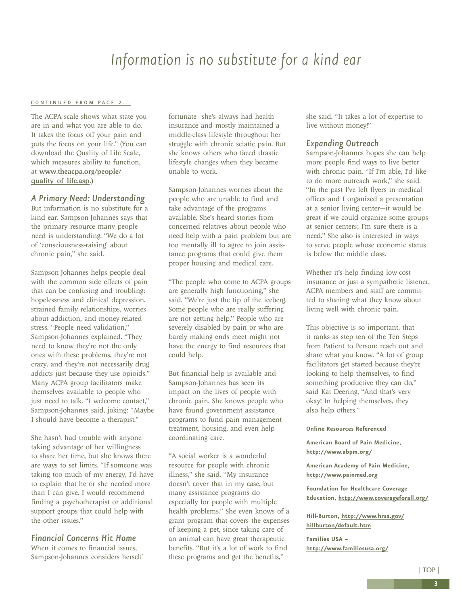### *Information is no substitute for a kind ear*

#### <span id="page-2-0"></span>[CONTINUED FROM PAGE 2...](#page-1-0)

The ACPA scale shows what state you are in and what you are able to do. It takes the focus off your pain and puts the focus on your life." (You can download the Quality of Life Scale, which measures ability to function, at [www.theacpa.org/people/](www.theacpa.org/people/quality_of_life.asp) quality of life.asp.)

#### *A Primary Need: Understanding*

But information is no substitute for a kind ear. Sampson-Johannes says that the primary resource many people need is understanding. "We do a lot of 'consciousness-raising' about chronic pain," she said.

Sampson-Johannes helps people deal with the common side effects of pain that can be confusing and troubling: hopelessness and clinical depression, strained family relationships, worries about addiction, and money-related stress. "People need validation," Sampson-Johannes explained. "They need to know they're not the only ones with these problems, they're not crazy, and they're not necessarily drug addicts just because they use opioids." Many ACPA group facilitators make themselves available to people who just need to talk. "I welcome contact," Sampson-Johannes said, joking: "Maybe I should have become a therapist."

She hasn't had trouble with anyone taking advantage of her willingness to share her time, but she knows there are ways to set limits. "If someone was taking too much of my energy, I'd have to explain that he or she needed more than I can give. I would recommend finding a psychotherapist or additional support groups that could help with the other issues."

#### *Financial Concerns Hit Home*

When it comes to financial issues, Sampson-Johannes considers herself fortunate—she's always had health insurance and mostly maintained a middle-class lifestyle throughout her struggle with chronic sciatic pain. But she knows others who faced drastic lifestyle changes when they became unable to work.

Sampson-Johannes worries about the people who are unable to find and take advantage of the programs available. She's heard stories from concerned relatives about people who need help with a pain problem but are too mentally ill to agree to join assistance programs that could give them proper housing and medical care.

"The people who come to ACPA groups are generally high functioning," she said. "We're just the tip of the iceberg. Some people who are really suffering are not getting help." People who are severely disabled by pain or who are barely making ends meet might not have the energy to find resources that could help.

But financial help is available and Sampson-Johannes has seen its impact on the lives of people with chronic pain. She knows people who have found government assistance programs to fund pain management treatment, housing, and even help coordinating care.

"A social worker is a wonderful resource for people with chronic illness," she said. "My insurance doesn't cover that in my case, but many assistance programs do especially for people with multiple health problems." She even knows of a grant program that covers the expenses of keeping a pet, since taking care of an animal can have great therapeutic benefits. "But it's a lot of work to find these programs and get the benefits,"

she said. "It takes a lot of expertise to live without money!"

#### *Expanding Outreach*

Sampson-Johannes hopes she can help more people find ways to live better with chronic pain. "If I'm able, I'd like to do more outreach work," she said. "In the past I've left flyers in medical offices and I organized a presentation at a senior living center—it would be great if we could organize some groups at senior centers; I'm sure there is a need." She also is interested in ways to serve people whose economic status is below the middle class.

Whether it's help finding low-cost insurance or just a sympathetic listener, ACPA members and staff are committed to sharing what they know about living well with chronic pain.

This objective is so important, that it ranks as step ten of the Ten Steps from Patient to Person: reach out and share what you know. "A lot of group facilitators get started because they're looking to help themselves, to find something productive they can do," said Kat Deering, "And that's very okay! In helping themselves, they also help others."

#### **Online Resources Referenced**

**American Board of Pain Medicine, <http://www.abpm.org/>**

**American Academy of Pain Medicine, <http://www.painmed.org>**

**Foundation for Healthcare Coverage Education,<http://www.coverageforall.org/>**

**[Hill-Burton, http://www.hrsa.gov/](http://www.hrsa.gov/hillburton/default.htm) hillburton/default.htm**

**Families USA – <http://www.familiesusa.org/>**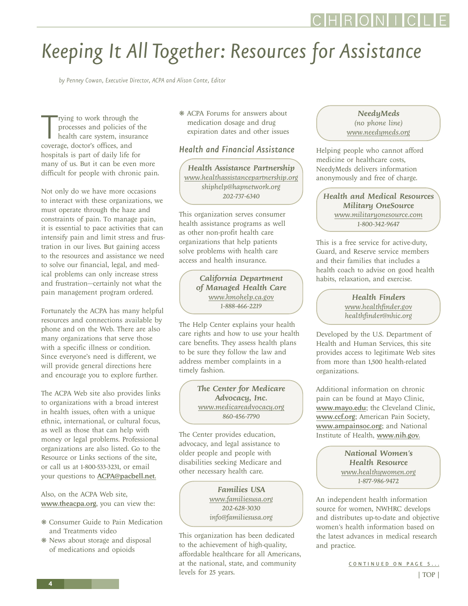# <span id="page-3-0"></span>*Keeping It All Together: Resources for Assistance*

*by Penney Cowan, Executive Director, ACPA and Alison Conte, Editor*

Tying to work through the<br>processes and policies of<br>health care system, insur<br>coverage, doctor's offices, and rying to work through the processes and policies of the health care system, insurance hospitals is part of daily life for many of us. But it can be even more difficult for people with chronic pain.

Not only do we have more occasions to interact with these organizations, we must operate through the haze and constraints of pain. To manage pain, it is essential to pace activities that can intensify pain and limit stress and frustration in our lives. But gaining access to the resources and assistance we need to solve our financial, legal, and medical problems can only increase stress and frustration—certainly not what the pain management program ordered.

Fortunately the ACPA has many helpful resources and connections available by phone and on the Web. There are also many organizations that serve those with a specific illness or condition. Since everyone's need is different, we will provide general directions here and encourage you to explore further.

The ACPA Web site also provides links to organizations with a broad interest in health issues, often with a unique ethnic, international, or cultural focus, as well as those that can help with money or legal problems. Professional organizations are also listed. Go to the Resource or Links sections of the site, or call us at 1-800-533-3231, or email your questions to [ACPA@pacbell.net](mailto: ACPA@pacbell.net).

Also, on the ACPA Web site, <www.theacpa.org>, you can view the:

- ❋ Consumer Guide to Pain Medication and Treatments video
- ❋ News about storage and disposal of medications and opioids

❋ ACPA Forums for answers about medication dosage and drug expiration dates and other issues

#### *Health and Financial Assistance*

*Health Assistance Partnership <www.healthassistancepartnership.org> shiphelp@hapnetwork.org 202-737-6340*

This organization serves consumer health assistance programs as well as other non-profit health care organizations that help patients solve problems with health care access and health insurance.

> *California Department of Managed Health Care <www.hmohelp.ca.gov> 1-888-466-2219*

The Help Center explains your health care rights and how to use your health care benefits. They assess health plans to be sure they follow the law and address member complaints in a timely fashion.

> *The Center for Medicare Advocacy, Inc. <www.medicareadvocacy.org> 860-456-7790*

The Center provides education, advocacy, and legal assistance to older people and people with disabilities seeking Medicare and other necessary health care.

> *Families USA <www.familiesusa.org> 202-628-3030 info@familiesusa.org*

This organization has been dedicated to the achievement of high-quality, affordable healthcare for all Americans, at the national, state, and community levels for 25 years.

#### *NeedyMeds (no phone line) <www.needymeds.org>*

Helping people who cannot afford medicine or healthcare costs, NeedyMeds delivers information anonymously and free of charge.

*Health and Medical Resources Military OneSource <www.militaryonesource.com> 1-800-342-9647*

This is a free service for active-duty, Guard, and Reserve service members and their families that includes a health coach to advise on good health habits, relaxation, and exercise.

> *Health Finders <www.healthfinder.gov> healthfinder@nhic.org*

Developed by the U.S. Department of Health and Human Services, this site provides access to legitimate Web sites from more than 1,500 health-related organizations.

Additional information on chronic pain can be found at Mayo Clinic, <www.mayo.edu>; the Cleveland Clinic, <www.ccf.org>; American Pain Society, <www.ampainsoc.org>; and National Institute of Health, <www.nih.gov>.

> *National Women's Health Resource <www.healthywomen.org> 1-877-986-9472*

An independent health information source for women, NWHRC develops and distributes up-to-date and objective women's health information based on the latest advances in medical research and practice.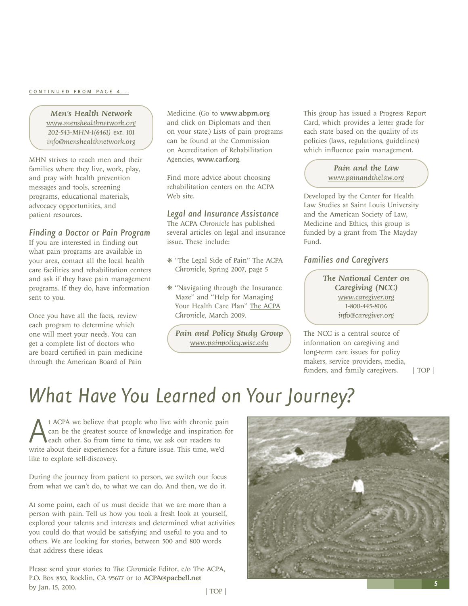#### <span id="page-4-0"></span>[CONTINUED FROM PAGE 4...](#page-3-0)

*Men's Health Network www.menshealthnetwork.org 202-543-MHN-1(6461) ext. 101 info@menshealthnetwork.org*

MHN strives to reach men and their families where they live, work, play, and pray with health prevention messages and tools, screening programs, educational materials, advocacy opportunities, and patient resources.

#### *Finding a Doctor or Pain Program*

If you are interested in finding out what pain programs are available in your area, contact all the local health care facilities and rehabilitation centers and ask if they have pain management programs. If they do, have information sent to you.

Once you have all the facts, review each program to determine which one will meet your needs. You can get a complete list of doctors who are board certified in pain medicine through the American Board of Pain

Medicine. (Go to www.abpm.org and click on Diplomats and then on your state.) Lists of pain programs can be found at the Commission on Accreditation of Rehabilitation Agencies, www.carf.org.

Find more advice about choosing rehabilitation centers on the ACPA Web site.

#### *Legal and Insurance Assistance*

The ACPA *Chronicle* has published several articles on legal and insurance issue. These include:

- ❋ ["The Legal Side of Pain" The ACPA](http://www.theacpa.org/documents/chronicle_spring07_WEB_final.pdf) *Chronicle*, Spring 2007, page 5
- ❋ "Navigating through the Insurance Maze" and "Help for Managing [Your Health Care Plan" The ACPA](http://www.theacpa.org/documents/chronicle_spring_09.pdf) *Chronicle*, March 2009.

*Pain and Policy Study Group www.painpolicy.wisc.edu*

This group has issued a Progress Report Card, which provides a letter grade for each state based on the quality of its policies (laws, regulations, guidelines) which influence pain management.

#### *Pain and the Law www.painandthelaw.org*

Developed by the Center for Health Law Studies at Saint Louis University and the American Society of Law, Medicine and Ethics, this group is funded by a grant from The Mayday Fund.

#### *Families and Caregivers*

*The National Center on Caregiving (NCC) www.caregiver.org 1-800-445-8106 info@caregiver.org*

The NCC is a central source of information on caregiving and long-term care issues for policy makers, service providers, media, funders, and family caregivers. [| TOP |](#page-0-0)

### *What Have You Learned on Your Journey?*

At ACPA we believe that people who live with chronic pain can be the greatest source of knowledge and inspiration for each other. So from time to time, we ask our readers to write about their experiences for a future issue can be the greatest source of knowledge and inspiration for each other. So from time to time, we ask our readers to like to explore self-discovery.

During the journey from patient to person, we switch our focus from what we can't do, to what we can do. And then, we do it.

At some point, each of us must decide that we are more than a person with pain. Tell us how you took a fresh look at yourself, explored your talents and interests and determined what activities you could do that would be satisfying and useful to you and to others. We are looking for stories, between 500 and 800 words that address these ideas.

Please send your stories to *The Chronicle* Editor, c/o The ACPA, P.O. Box 850, Rocklin, CA 95677 or to ACPA@pacbell.net by Jan. 15, 2010. [| TOP |](#page-0-0)

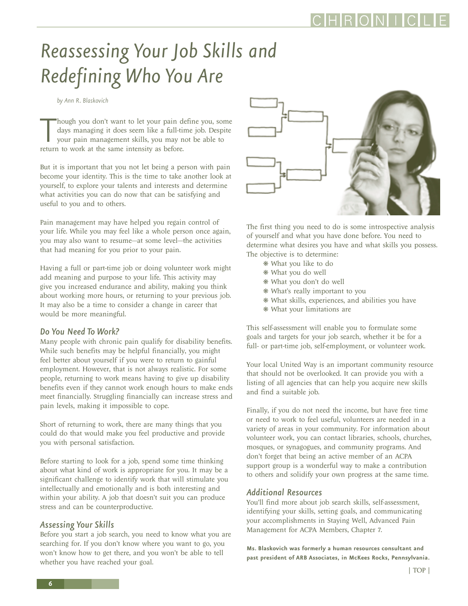# <span id="page-5-0"></span>*Reassessing Your Job Skills and Redefining Who You Are*

*by Ann R. Blaskovich* 

Though you don't want to let your pain de days managing it does seem like a full-tin your pain management skills, you may no<br>return to work at the same intensity as before. hough you don't want to let your pain define you, some days managing it does seem like a full-time job. Despite your pain management skills, you may not be able to

But it is important that you not let being a person with pain become your identity. This is the time to take another look at yourself, to explore your talents and interests and determine what activities you can do now that can be satisfying and useful to you and to others.

Pain management may have helped you regain control of your life. While you may feel like a whole person once again, you may also want to resume—at some level—the activities that had meaning for you prior to your pain.

Having a full or part-time job or doing volunteer work might add meaning and purpose to your life. This activity may give you increased endurance and ability, making you think about working more hours, or returning to your previous job. It may also be a time to consider a change in career that would be more meaningful.

#### *Do You Need To Work?*

Many people with chronic pain qualify for disability benefits. While such benefits may be helpful financially, you might feel better about yourself if you were to return to gainful employment. However, that is not always realistic. For some people, returning to work means having to give up disability benefits even if they cannot work enough hours to make ends meet financially. Struggling financially can increase stress and pain levels, making it impossible to cope.

Short of returning to work, there are many things that you could do that would make you feel productive and provide you with personal satisfaction.

Before starting to look for a job, spend some time thinking about what kind of work is appropriate for you. It may be a significant challenge to identify work that will stimulate you intellectually and emotionally and is both interesting and within your ability. A job that doesn't suit you can produce stress and can be counterproductive.

#### *Assessing Your Skills*

Before you start a job search, you need to know what you are searching for. If you don't know where you want to go, you won't know how to get there, and you won't be able to tell whether you have reached your goal.



The first thing you need to do is some introspective analysis of yourself and what you have done before. You need to determine what desires you have and what skills you possess. The objective is to determine:

- ❋ What you like to do
- ❋ What you do well
- ❋ What you don't do well
- ❋ What's really important to you
- ❋ What skills, experiences, and abilities you have
- ❋ What your limitations are

This self-assessment will enable you to formulate some goals and targets for your job search, whether it be for a full- or part-time job, self-employment, or volunteer work.

Your local United Way is an important community resource that should not be overlooked. It can provide you with a listing of all agencies that can help you acquire new skills and find a suitable job.

Finally, if you do not need the income, but have free time or need to work to feel useful, volunteers are needed in a variety of areas in your community. For information about volunteer work, you can contact libraries, schools, churches, mosques, or synagogues, and community programs. And don't forget that being an active member of an ACPA support group is a wonderful way to make a contribution to others and solidify your own progress at the same time.

#### *Additional Resources*

You'll find more about job search skills, self-assessment, identifying your skills, setting goals, and communicating your accomplishments in Staying Well, Advanced Pain Management for ACPA Members, Chapter 7.

**Ms. Blaskovich was formerly a human resources consultant and past president of ARB Associates, in McKees Rocks, Pennsylvania.**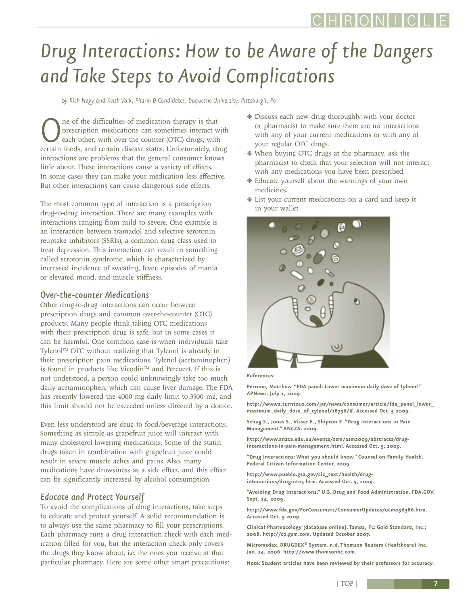# <span id="page-6-0"></span>*Drug Interactions: How to be Aware of the Dangers and Take Steps to Avoid Complications*

*by Rich Nagy and Keith Volk, Pharm D Candidates, Duquesne University, Pittsburgh, Pa.*

**O** ne of the difficulties of medication therapy is that prescription medications can sometimes interact we each other, with over-the counter (OTC) drugs, with certain foods, and certain disease states. Unfortunately, dr prescription medications can sometimes interact with each other, with over-the counter (OTC) drugs, with certain foods, and certain disease states. Unfortunately, drug interactions are problems that the general consumer knows little about. These interactions cause a variety of effects. In some cases they can make your medication less effective. But other interactions can cause dangerous side effects.

The most common type of interaction is a prescription drug-to-drug interaction. There are many examples with interactions ranging from mild to severe. One example is an interaction between tramadol and selective serotonin reuptake inhibitors (SSRIs), a common drug class used to treat depression. This interaction can result in something called serotonin syndrome, which is characterized by increased incidence of sweating, fever, episodes of mania or elevated mood, and muscle stiffness.

#### *Over-the-counter Medications*

Other drug-to-drug interactions can occur between prescription drugs and common over-the-counter (OTC) products. Many people think taking OTC medications with their prescription drug is safe, but in some cases it can be harmful. One common case is when individuals take Tylenol™ OTC without realizing that Tylenol is already in their prescription pain medications. Tylenol (acetaminophen) is found in products like Vicodin™ and Percocet. If this is not understood, a person could unknowingly take too much daily acetaminophen, which can cause liver damage. The FDA has recently lowered the 4000 mg daily limit to 3500 mg, and this limit should not be exceeded unless directed by a doctor.

Even less understood are drug to food/beverage interactions. Something as simple as grapefruit juice will interact with many cholesterol-lowering medications. Some of the statin drugs taken in combination with grapefruit juice could result in severe muscle aches and pains. Also, many medications have drowsiness as a side effect, and this effect can be significantly increased by alcohol consumption.

#### *Educate and Protect Yourself*

To avoid the complications of drug interactions, take steps to educate and protect yourself. A solid recommendation is to always use the same pharmacy to fill your prescriptions. Each pharmacy runs a drug interaction check with each medication filled for you, but the interaction check only covers the drugs they know about, i.e. the ones you receive at that particular pharmacy. Here are some other smart precautions:

- ❋ Discuss each new drug thoroughly with your doctor or pharmacist to make sure there are no interactions with any of your current medications or with any of your regular OTC drugs.
- ❋ When buying OTC drugs at the pharmacy, ask the pharmacist to check that your selection will not interact with any medications you have been prescribed.
- ❋ Educate yourself about the warnings of your own medicines.
- ❋ List your current medications on a card and keep it in your wallet.



#### **References:**

**Perrone, Matthew. "FDA panel: Lower maximum daily dose of Tylenol." APNews. July 1, 2009.** 

**http://www2.turnto10.com/jar/news/consumer/article/fda\_panel\_lower\_ maximum\_daily\_dose\_of\_tylenol/18796/#. Accessed Oct. 5 2009.**

**Schug S., Jones S., Visser E., Shipton E. "Drug Interactions in Pain Management." ANCZA. 2009.** 

**http://www.anzca.edu.au/events/asm/asm2009/abstracts/druginteractions-in-pain-management.html. Accessed Oct. 5, 2009.**

**"Drug Interactions: What you should know." Counsel on Family Health. Federal Citizen Information Center. 2009.** 

**http://www.pueblo.gsa.gov/cic\_text/health/druginteractions/druginte3.htm. Accessed Oct. 5, 2009.**

**"Avoiding Drug Interactions." U.S. Drug and Food Administration. FDA.GOV. Sept. 24, 2009.** 

**http://www.fda.gov/ForConsumers/ConsumerUpdates/ucm096386.htm. Accessed Oct. 5 2009.**

**Clinical Pharmacology [database online]. Tampa, FL: Gold Standard, Inc.; 2008. http://cp.gsm.com. Updated October 2007.**

**Micromedex. DRUGDEX® System. n.d. Thomson Reuters (Healthcare) Inc. Jan. 24, 2006. http://www.thomsonhc.com.**

**Note: Student articles have been reviewed by their professors for accuracy.**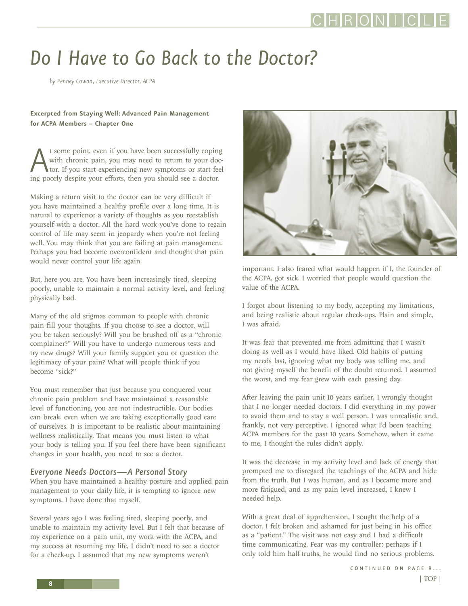### <span id="page-7-0"></span>*Do I Have to Go Back to the Doctor?*

*by Penney Cowan, Executive Director, ACPA*

#### **Excerpted from Staying Well: Advanced Pain Management for ACPA Members – Chapter One**

At some point, even if you have been successfully coping with chronic pain, you may need to return to your doctor. If you start experiencing new symptoms or start feeing poorly despite your efforts, then you should see a d with chronic pain, you may need to return to your doctor. If you start experiencing new symptoms or start feel-

Making a return visit to the doctor can be very difficult if you have maintained a healthy profile over a long time. It is natural to experience a variety of thoughts as you reestablish yourself with a doctor. All the hard work you've done to regain control of life may seem in jeopardy when you're not feeling well. You may think that you are failing at pain management. Perhaps you had become overconfident and thought that pain would never control your life again.

But, here you are. You have been increasingly tired, sleeping poorly, unable to maintain a normal activity level, and feeling physically bad.

Many of the old stigmas common to people with chronic pain fill your thoughts. If you choose to see a doctor, will you be taken seriously? Will you be brushed off as a "chronic complainer?" Will you have to undergo numerous tests and try new drugs? Will your family support you or question the legitimacy of your pain? What will people think if you become "sick?"

You must remember that just because you conquered your chronic pain problem and have maintained a reasonable level of functioning, you are not indestructible. Our bodies can break, even when we are taking exceptionally good care of ourselves. It is important to be realistic about maintaining wellness realistically. That means you must listen to what your body is telling you. If you feel there have been significant changes in your health, you need to see a doctor.

#### *Everyone Needs Doctors—A Personal Story*

When you have maintained a healthy posture and applied pain management to your daily life, it is tempting to ignore new symptoms. I have done that myself.

Several years ago I was feeling tired, sleeping poorly, and unable to maintain my activity level. But I felt that because of my experience on a pain unit, my work with the ACPA, and my success at resuming my life, I didn't need to see a doctor for a check-up. I assumed that my new symptoms weren't



important. I also feared what would happen if I, the founder of the ACPA, got sick. I worried that people would question the value of the ACPA.

I forgot about listening to my body, accepting my limitations, and being realistic about regular check-ups. Plain and simple, I was afraid.

It was fear that prevented me from admitting that I wasn't doing as well as I would have liked. Old habits of putting my needs last, ignoring what my body was telling me, and not giving myself the benefit of the doubt returned. I assumed the worst, and my fear grew with each passing day.

After leaving the pain unit 10 years earlier, I wrongly thought that I no longer needed doctors. I did everything in my power to avoid them and to stay a well person. I was unrealistic and, frankly, not very perceptive. I ignored what I'd been teaching ACPA members for the past 10 years. Somehow, when it came to me, I thought the rules didn't apply.

It was the decrease in my activity level and lack of energy that prompted me to disregard the teachings of the ACPA and hide from the truth. But I was human, and as I became more and more fatigued, and as my pain level increased, I knew I needed help.

With a great deal of apprehension, I sought the help of a doctor. I felt broken and ashamed for just being in his office as a "patient." The visit was not easy and I had a difficult time communicating. Fear was my controller: perhaps if I only told him half-truths, he would find no serious problems.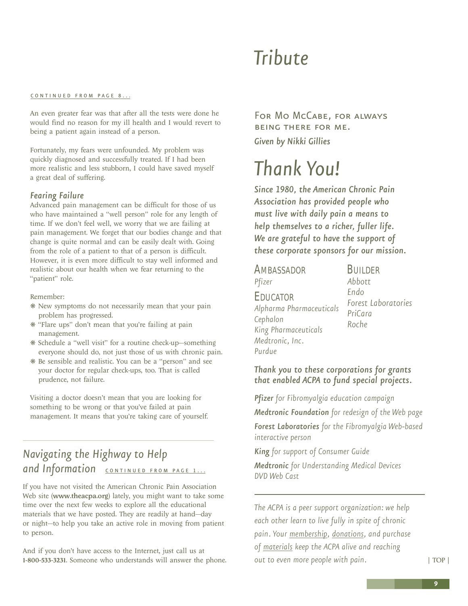## *Tribute*

#### <span id="page-8-0"></span>[CONTINUED FROM PAGE 8...](#page-7-0)

An even greater fear was that after all the tests were done he would find no reason for my ill health and I would revert to being a patient again instead of a person.

Fortunately, my fears were unfounded. My problem was quickly diagnosed and successfully treated. If I had been more realistic and less stubborn, I could have saved myself a great deal of suffering.

#### *Fearing Failure*

Advanced pain management can be difficult for those of us who have maintained a "well person" role for any length of time. If we don't feel well, we worry that we are failing at pain management. We forget that our bodies change and that change is quite normal and can be easily dealt with. Going from the role of a patient to that of a person is difficult. However, it is even more difficult to stay well informed and realistic about our health when we fear returning to the "patient" role.

#### Remember:

- ❋ New symptoms do not necessarily mean that your pain problem has progressed.
- ❋ "Flare ups" don't mean that you're failing at pain management.
- ❋ Schedule a "well visit" for a routine check-up—something everyone should do, not just those of us with chronic pain.
- ❋ Be sensible and realistic. You can be a "person" and see your doctor for regular check-ups, too. That is called prudence, not failure.

Visiting a doctor doesn't mean that you are looking for something to be wrong or that you've failed at pain management. It means that you're taking care of yourself.

### *Navigating the Highway to Help*  and Information **[CONTINUED FROM PAGE 1...](#page-0-0)**

If you have not visited the American Chronic Pain Association Web site ([www.theacpa.org](http://www.theacpa.org)) lately, you might want to take some time over the next few weeks to explore all the educational materials that we have posted. They are readily at hand—day or night—to help you take an active role in moving from patient to person.

And if you don't have access to the Internet, just call us at 1-800-533-3231. Someone who understands will answer the phone.

For Mo McCabe, for always being there for me. *Given by Nikki Gillies*

## *Thank You!*

*Since 1980, the American Chronic Pain Association has provided people who must live with daily pain a means to help themselves to a richer, fuller life. We are grateful to have the support of these corporate sponsors for our mission.*

### **AMBASSADOR** *Pfizer* EDUCATOR *Alpharma Pharmaceuticals Cephalon King Pharmaceuticals Medtronic, Inc.*

*Purdue*

**BUILDER** *Abbott Endo Forest Laboratories PriCara Roche*

#### *Thank you to these corporations for grants that enabled ACPA to fund special projects.*

*Pfizer for Fibromyalgia education campaign Medtronic Foundation for redesign of the Web page Forest Laboratories for the Fibromyalgia Web-based interactive person*

*King for support of Consumer Guide*

*Medtronic for Understanding Medical Devices DVD Web Cast* 

*The ACPA is a peer support organization: we help each other learn to live fully in spite of chronic pain. Your [membership,](http://www.theacpa.org/join.asp) [donations,](http://www.theacpa.org/donate.asp) and purchase of [materials](http://acpa.stores.yahoo.net/) keep the ACPA alive and reaching out to even more people with pain.*

[| TOP |](#page-0-0)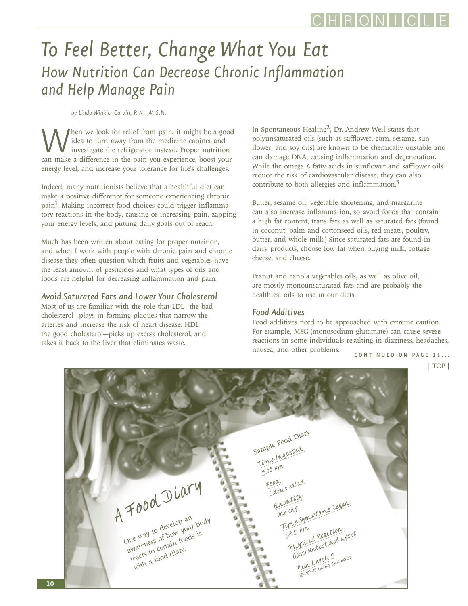### <span id="page-9-0"></span>*To Feel Better, Change What You Eat How Nutrition Can Decrease Chronic Inflammation and Help Manage Pain*

*by Linda Winkler Garvin, R.N., M.S.N.* 

When we look for relief from pain, it might be a good idea to turn away from the medicine cabinet and investigate the refrigerator instead. Proper nutrition can make a difference in the pain you experience, boost your idea to turn away from the medicine cabinet and investigate the refrigerator instead. Proper nutrition energy level, and increase your tolerance for life's challenges.

Indeed, many nutritionists believe that a healthful diet can make a positive difference for someone experiencing chronic pain<sup>1</sup>. Making incorrect food choices could trigger inflammatory reactions in the body, causing or increasing pain, zapping your energy levels, and putting daily goals out of reach.

Much has been written about eating for proper nutrition, and when I work with people with chronic pain and chronic disease they often question which fruits and vegetables have the least amount of pesticides and what types of oils and foods are helpful for decreasing inflammation and pain.

#### *Avoid Saturated Fats and Lower Your Cholesterol*

Most of us are familiar with the role that LDL—the bad cholesterol—plays in forming plaques that narrow the arteries and increase the risk of heart disease. HDL the good cholesterol—picks up excess cholesterol, and takes it back to the liver that eliminates waste.

In Spontaneous Healing<sup>2</sup>, Dr. Andrew Weil states that polyunsaturated oils (such as safflower, corn, sesame, sunflower, and soy oils) are known to be chemically unstable and can damage DNA, causing inflammation and degeneration. While the omega 6 fatty acids in sunflower and safflower oils reduce the risk of cardiovascular disease, they can also contribute to both allergies and inflammation.3

Butter, sesame oil, vegetable shortening, and margarine can also increase inflammation, so avoid foods that contain a high fat content, trans fats as well as saturated fats (found in coconut, palm and cottonseed oils, red meats, poultry, butter, and whole milk.) Since saturated fats are found in dairy products, choose low fat when buying milk, cottage cheese, and cheese.

Peanut and canola vegetables oils, as well as olive oil, are mostly monounsaturated fats and are probably the healthiest oils to use in our diets.

#### *Food Additives*

Food additives need to be approached with extreme caution. For example, MSG (monosodium glutamate) can cause severe reactions in some individuals resulting in dizziness, headaches, nausea, and other problems.

[CONTINUED ON PAGE 11...](#page-10-0)

[| TOP |](#page-0-0)

A Food Diary One way to develop an way w when your body reacts to certain foods is with a food diary. Sample Food Diary ample Ingested:  $5:00 \rho m$ Food: ordi<br>Citrus salad auantity: One cup Time Symptoms Began: 5.45 pm<br>Physical Reaction: B Priced Reactive upset<br>hysical Reactival upset asure Level: 5<br>Pain Level: 5 me worst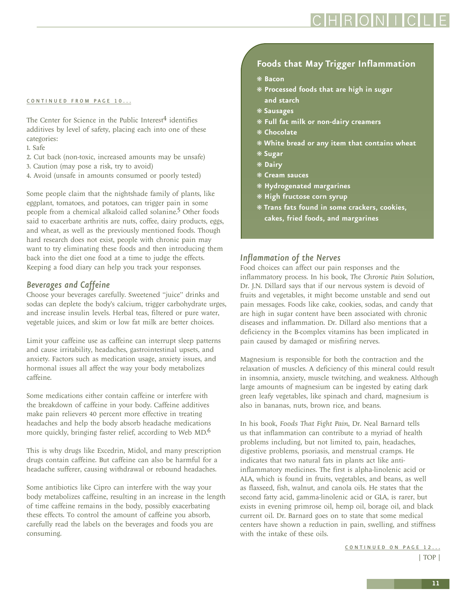### RONIC

#### <span id="page-10-0"></span>[CONTINUED FROM PAGE 10...](#page-9-0)

The Center for Science in the Public Interest $4$  identifies additives by level of safety, placing each into one of these categories:

- 1. Safe
- 2. Cut back (non-toxic, increased amounts may be unsafe)
- 3. Caution (may pose a risk, try to avoid)
- 4. Avoid (unsafe in amounts consumed or poorly tested)

Some people claim that the nightshade family of plants, like eggplant, tomatoes, and potatoes, can trigger pain in some people from a chemical alkaloid called solanine.5 Other foods said to exacerbate arthritis are nuts, coffee, dairy products, eggs, and wheat, as well as the previously mentioned foods. Though hard research does not exist, people with chronic pain may want to try eliminating these foods and then introducing them back into the diet one food at a time to judge the effects. Keeping a food diary can help you track your responses.

#### *Beverages and Caffeine*

Choose your beverages carefully. Sweetened "juice" drinks and sodas can deplete the body's calcium, trigger carbohydrate urges, and increase insulin levels. Herbal teas, filtered or pure water, vegetable juices, and skim or low fat milk are better choices.

Limit your caffeine use as caffeine can interrupt sleep patterns and cause irritability, headaches, gastrointestinal upsets, and anxiety. Factors such as medication usage, anxiety issues, and hormonal issues all affect the way your body metabolizes caffeine.

Some medications either contain caffeine or interfere with the breakdown of caffeine in your body. Caffeine additives make pain relievers 40 percent more effective in treating headaches and help the body absorb headache medications more quickly, bringing faster relief, according to Web MD.6

This is why drugs like Excedrin, Midol, and many prescription drugs contain caffeine. But caffeine can also be harmful for a headache sufferer, causing withdrawal or rebound headaches.

Some antibiotics like Cipro can interfere with the way your body metabolizes caffeine, resulting in an increase in the length of time caffeine remains in the body, possibly exacerbating these effects. To control the amount of caffeine you absorb, carefully read the labels on the beverages and foods you are consuming.

#### **Foods that May Trigger Inflammation**

- ❋ **Bacon**
- ❋ **Processed foods that are high in sugar and starch**
- ❋ **Sausages**
- ❋ **Full fat milk or non-dairy creamers**
- ❋ **Chocolate**
- ❋ **White bread or any item that contains wheat**
- ❋ **Sugar**
- ❋ **Dairy**
- ❋ **Cream sauces**
- ❋ **Hydrogenated margarines**
- ❋ **High fructose corn syrup**
- ❋ **Trans fats found in some crackers, cookies, cakes, fried foods, and margarines**

#### *Inflammation of the Nerves*

Food choices can affect our pain responses and the inflammatory process. In his book, *The Chronic Pain Solution*, Dr. J.N. Dillard says that if our nervous system is devoid of fruits and vegetables, it might become unstable and send out pain messages. Foods like cake, cookies, sodas, and candy that are high in sugar content have been associated with chronic diseases and inflammation. Dr. Dillard also mentions that a deficiency in the B-complex vitamins has been implicated in pain caused by damaged or misfiring nerves.

Magnesium is responsible for both the contraction and the relaxation of muscles. A deficiency of this mineral could result in insomnia, anxiety, muscle twitching, and weakness. Although large amounts of magnesium can be ingested by eating dark green leafy vegetables, like spinach and chard, magnesium is also in bananas, nuts, brown rice, and beans.

In his book, *Foods That Fight Pain*, Dr. Neal Barnard tells us that inflammation can contribute to a myriad of health problems including, but not limited to, pain, headaches, digestive problems, psoriasis, and menstrual cramps. He indicates that two natural fats in plants act like antiinflammatory medicines. The first is alpha-linolenic acid or ALA, which is found in fruits, vegetables, and beans, as well as flaxseed, fish, walnut, and canola oils. He states that the second fatty acid, gamma-linolenic acid or GLA, is rarer, but exists in evening primrose oil, hemp oil, borage oil, and black current oil. Dr. Barnard goes on to state that some medical centers have shown a reduction in pain, swelling, and stiffness with the intake of these oils.

> CONTINUED ON PAGE 12... [| TOP |](#page-0-0)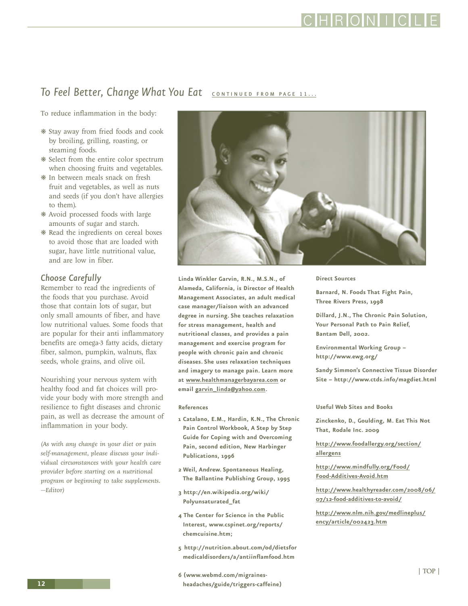### **RONI**

### <span id="page-11-0"></span>To Feel Better, Change What You Eat **CONTINUED FROM PAGE 11...**

To reduce inflammation in the body:

- ❋ Stay away from fried foods and cook by broiling, grilling, roasting, or steaming foods.
- ❋ Select from the entire color spectrum when choosing fruits and vegetables.
- ❋ In between meals snack on fresh fruit and vegetables, as well as nuts and seeds (if you don't have allergies to them).
- ❋ Avoid processed foods with large amounts of sugar and starch.
- ❋ Read the ingredients on cereal boxes to avoid those that are loaded with sugar, have little nutritional value, and are low in fiber.

#### *Choose Carefully*

Remember to read the ingredients of the foods that you purchase. Avoid those that contain lots of sugar, but only small amounts of fiber, and have low nutritional values. Some foods that are popular for their anti inflammatory benefits are omega-3 fatty acids, dietary fiber, salmon, pumpkin, walnuts, flax seeds, whole grains, and olive oil.

Nourishing your nervous system with healthy food and fat choices will provide your body with more strength and resilience to fight diseases and chronic pain, as well as decrease the amount of inflammation in your body.

*(As with any change in your diet or pain self-management, please discuss your individual circumstances with your health care provider before starting on a nutritional program or beginning to take supplements. —Editor)*



**Linda Winkler Garvin, R.N., M.S.N., of Alameda, California, is Director of Health Management Associates, an adult medical case manager/liaison with an advanced degree in nursing. She teaches relaxation for stress management, health and nutritional classes, and provides a pain management and exercise program for people with chronic pain and chronic diseases. She uses relaxation techniques and imagery to manage pain. Learn more at www.healthmanagerbayarea.com or email garvin\_linda@yahoo.com.**

#### **References**

- **1 Catalano, E.M., Hardin, K.N., The Chronic Pain Control Workbook, A Step by Step Guide for Coping with and Overcoming Pain, second edition, New Harbinger Publications, 1996**
- **2 Weil, Andrew. Spontaneous Healing, The Ballantine Publishing Group, 1995**
- **3 http://en.wikipedia.org/wiki/ Polyunsaturated\_fat**
- **4 The Center for Science in the Public Interest, www.cspinet.org/reports/ chemcuisine.htm;**
- **5 http://nutrition.about.com/od/dietsfor medicaldisorders/a/antiinflamfood.htm**
- **6 (www.webmd.com/migrainesheadaches/guide/triggers-caffeine)**

#### **Direct Sources**

**Barnard, N. Foods That Fight Pain, Three Rivers Press, 1998** 

**Dillard, J.N., The Chronic Pain Solution, Your Personal Path to Pain Relief, Bantam Dell, 2002.**

**Environmental Working Group – http://www.ewg.org/**

**Sandy Simmon's Connective Tissue Disorder Site – http://www.ctds.info/magdiet.html**

**Useful Web Sites and Books**

**Zinckenko, D., Goulding, M. Eat This Not That, Rodale Inc. 2009**

**[http://www.foodallergy.org/section/](http://www.foodallergy.org/section/allergens) allergens**

**[http://www.mindfully.org/Food/](http://www.mindfully.org/Food/Food-Additives-Avoid.htm) Food-Additives-Avoid.htm**

**[http://www.healthyreader.com/2008/06/](http://www.healthyreader.com/2008/06/07/12-food-additives-to-avoid/) 07/12-food-additives-to-avoid/**

**[http://www.nlm.nih.gov/medlineplus/](http://www.nlm.nih.gov/medlineplus/ency/article/002423.htm) ency/article/002423.htm**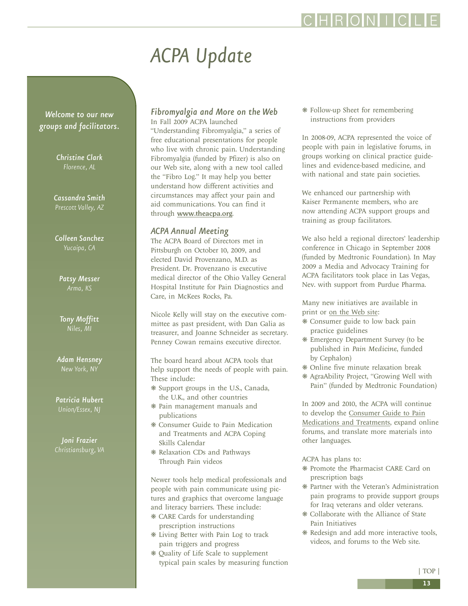### HRONII

# *ACPA Update*

<span id="page-12-0"></span>*Welcome to our new groups and facilitators.*

> *Christine Clark Florence, AL*

*Cassandra Smith Prescott Valley, AZ*

*Colleen Sanchez Yucaipa, CA*

*Patsy Messer Arma, KS*

*Tony Moffitt Niles, MI*

*Adam Hensney New York, NY*

*Patricia Hubert Union/Essex, NJ*

*Joni Frazier Christiansburg, VA*

#### *Fibromyalgia and More on the Web*  In Fall 2009 ACPA launched

"Understanding Fibromyalgia," a series of free educational presentations for people who live with chronic pain. Understanding Fibromyalgia (funded by Pfizer) is also on our Web site, along with a new tool called the "Fibro Log." It may help you better understand how different activities and circumstances may affect your pain and aid communications. You can find it through <www.theacpa.org>.

#### *ACPA Annual Meeting*

The ACPA Board of Directors met in Pittsburgh on October 10, 2009, and elected David Provenzano, M.D. as President. Dr. Provenzano is executive medical director of the Ohio Valley General Hospital Institute for Pain Diagnostics and Care, in McKees Rocks, Pa.

Nicole Kelly will stay on the executive committee as past president, with Dan Galia as treasurer, and Joanne Schneider as secretary. Penney Cowan remains executive director.

The board heard about ACPA tools that help support the needs of people with pain. These include:

- ❋ Support groups in the U.S., Canada, the U.K., and other countries
- ❋ Pain management manuals and publications
- ❋ Consumer Guide to Pain Medication and Treatments and ACPA Coping Skills Calendar
- ❋ Relaxation CDs and Pathways Through Pain videos

Newer tools help medical professionals and people with pain communicate using pictures and graphics that overcome language and literacy barriers. These include:

- ❋ CARE Cards for understanding prescription instructions
- ❋ Living Better with Pain Log to track pain triggers and progress
- ❋ Quality of Life Scale to supplement typical pain scales by measuring function

❋ Follow-up Sheet for remembering instructions from providers

In 2008-09, ACPA represented the voice of people with pain in legislative forums, in groups working on clinical practice guidelines and evidence-based medicine, and with national and state pain societies.

We enhanced our partnership with Kaiser Permanente members, who are now attending ACPA support groups and training as group facilitators.

We also held a regional directors' leadership conference in Chicago in September 2008 (funded by Medtronic Foundation). In May 2009 a Media and Advocacy Training for ACPA facilitators took place in Las Vegas, Nev. with support from Purdue Pharma.

Many new initiatives are available in print or [on the Web site:](www.theacpa.org)

- ❋ Consumer guide to low back pain practice guidelines
- ❋ Emergency Department Survey (to be published in *Pain Medicine*, funded by Cephalon)
- ❋ Online five minute relaxation break
- ❋ AgraAbility Project, "Growing Well with Pain" (funded by Medtronic Foundation)

In 2009 and 2010, the ACPA will continue to develop the Consumer Guide to Pain [Medications and Treatments, expand online](http://www.theacpa.org/medsup/default.aspx) forums, and translate more materials into other languages.

ACPA has plans to:

- ❋ Promote the Pharmacist CARE Card on prescription bags
- ❋ Partner with the Veteran's Administration pain programs to provide support groups for Iraq veterans and older veterans.
- ❋ Collaborate with the Alliance of State Pain Initiatives
- ❋ Redesign and add more interactive tools, videos, and forums to the Web site.